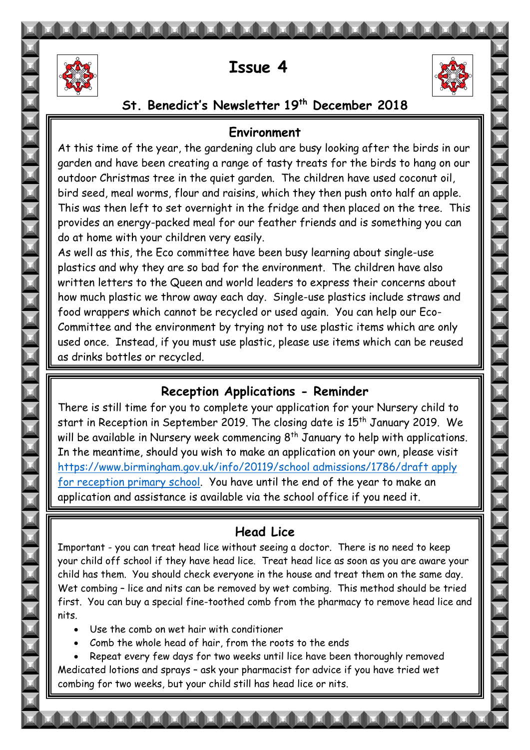

# **Issue 4**



### **St. Benedict's Newsletter 19th December 2018**

#### **Environment**

This was then left to set overnight in the fridge and then placed on the tree. This At this time of the year, the gardening club are busy looking after the birds in our garden and have been creating a range of tasty treats for the birds to hang on our outdoor Christmas tree in the quiet garden. The children have used coconut oil, bird seed, meal worms, flour and raisins, which they then push onto half an apple. provides an energy-packed meal for our feather friends and is something you can do at home with your children very easily.

 Committee and the environment by trying not to use plastic items which are only used once. Instead, it you mi<br>as drinks bottles or recycled.  $\equiv$ As well as this, the Eco committee have been busy learning about single-use plastics and why they are so bad for the environment. The children have also written letters to the Queen and world leaders to express their concerns about how much plastic we throw away each day. Single-use plastics include straws and food wrappers which cannot be recycled or used again. You can help our Ecoused once. Instead, if you must use plastic, please use items which can be reused

## **Reception Applications - Reminder**

 There is still time for you to complete your application for your Nursery child to start in Reception in September 2019. The closing date is 15th January 2019. We In the meantime, should you wish to make an application on your own, please visit [https://www.birmingham.gov.uk/info/20119/school admissions/1786/draft apply](https://www.birmingham.gov.uk/info/20119/school%20admissions/1786/draft%20apply%20for%20reception%20primary%20school)  [for reception primary school.](https://www.birmingham.gov.uk/info/20119/school%20admissions/1786/draft%20apply%20for%20reception%20primary%20school) You have until the end of the year to make an application and assistance is available via the school office if you need it. will be available in Nursery week commencing  $8<sup>th</sup>$  January to help with applications.

## **Head Lice**

 Important - you can treat head lice without seeing a doctor. There is no need to keep your child off school if they have head lice. Treat head lice as soon as you are aware your ening has them. You should check everyone in the house and it ear them on the same day.<br>Wet combing - lice and nits can be removed by wet combing. This method should be tried first. You can buy a special fine-toothed comb from the pharmacy to remove head lice and child has them. You should check everyone in the house and treat them on the same day. nits.

- Use the comb on wet hair with conditioner
- Comb the whole head of hair, from the roots to the ends

 Medicated lotions and sprays – ask your pharmacist for advice if you have tried wet Repeat every few days for two weeks until lice have been thoroughly removed combing for two weeks, but your child still has head lice or nits.

٦